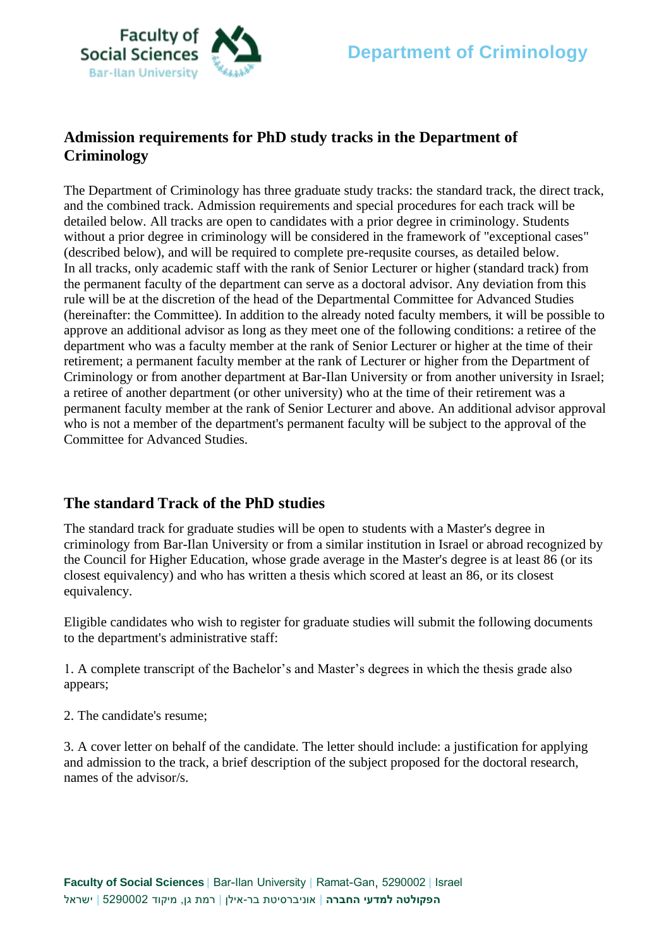

# **Admission requirements for PhD study tracks in the Department of Criminology**

The Department of Criminology has three graduate study tracks: the standard track, the direct track, and the combined track. Admission requirements and special procedures for each track will be detailed below. All tracks are open to candidates with a prior degree in criminology. Students without a prior degree in criminology will be considered in the framework of "exceptional cases" (described below), and will be required to complete pre-requsite courses, as detailed below. In all tracks, only academic staff with the rank of Senior Lecturer or higher (standard track) from the permanent faculty of the department can serve as a doctoral advisor. Any deviation from this rule will be at the discretion of the head of the Departmental Committee for Advanced Studies (hereinafter: the Committee). In addition to the already noted faculty members, it will be possible to approve an additional advisor as long as they meet one of the following conditions: a retiree of the department who was a faculty member at the rank of Senior Lecturer or higher at the time of their retirement; a permanent faculty member at the rank of Lecturer or higher from the Department of Criminology or from another department at Bar-Ilan University or from another university in Israel; a retiree of another department (or other university) who at the time of their retirement was a permanent faculty member at the rank of Senior Lecturer and above. An additional advisor approval who is not a member of the department's permanent faculty will be subject to the approval of the Committee for Advanced Studies.

#### **The standard Track of the PhD studies**

The standard track for graduate studies will be open to students with a Master's degree in criminology from Bar-Ilan University or from a similar institution in Israel or abroad recognized by the Council for Higher Education, whose grade average in the Master's degree is at least 86 (or its closest equivalency) and who has written a thesis which scored at least an 86, or its closest equivalency.

Eligible candidates who wish to register for graduate studies will submit the following documents to the department's administrative staff:

1. A complete transcript of the Bachelor's and Master's degrees in which the thesis grade also appears;

2. The candidate's resume;

3. A cover letter on behalf of the candidate. The letter should include: a justification for applying and admission to the track, a brief description of the subject proposed for the doctoral research, names of the advisor/s.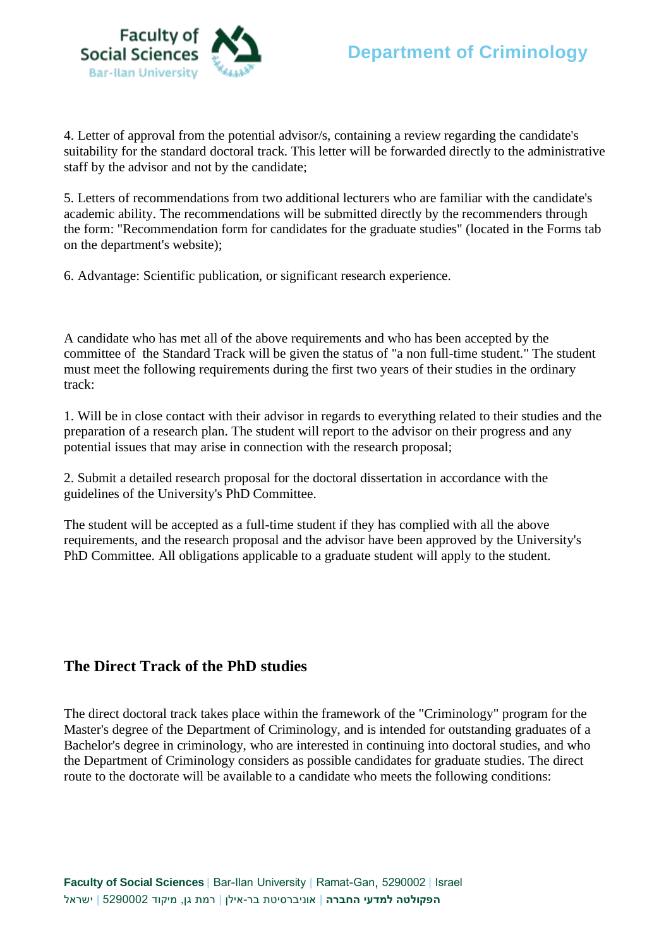

4. Letter of approval from the potential advisor/s, containing a review regarding the candidate's suitability for the standard doctoral track. This letter will be forwarded directly to the administrative staff by the advisor and not by the candidate;

5. Letters of recommendations from two additional lecturers who are familiar with the candidate's academic ability. The recommendations will be submitted directly by the recommenders through the form: "Recommendation form for candidates for the graduate studies" (located in the Forms tab on the department's website);

6. Advantage: Scientific publication, or significant research experience.

A candidate who has met all of the above requirements and who has been accepted by the committee of the Standard Track will be given the status of "a non full-time student." The student must meet the following requirements during the first two years of their studies in the ordinary track:

1. Will be in close contact with their advisor in regards to everything related to their studies and the preparation of a research plan. The student will report to the advisor on their progress and any potential issues that may arise in connection with the research proposal;

2. Submit a detailed research proposal for the doctoral dissertation in accordance with the guidelines of the University's PhD Committee.

The student will be accepted as a full-time student if they has complied with all the above requirements, and the research proposal and the advisor have been approved by the University's PhD Committee. All obligations applicable to a graduate student will apply to the student.

### **The Direct Track of the PhD studies**

The direct doctoral track takes place within the framework of the "Criminology" program for the Master's degree of the Department of Criminology, and is intended for outstanding graduates of a Bachelor's degree in criminology, who are interested in continuing into doctoral studies, and who the Department of Criminology considers as possible candidates for graduate studies. The direct route to the doctorate will be available to a candidate who meets the following conditions: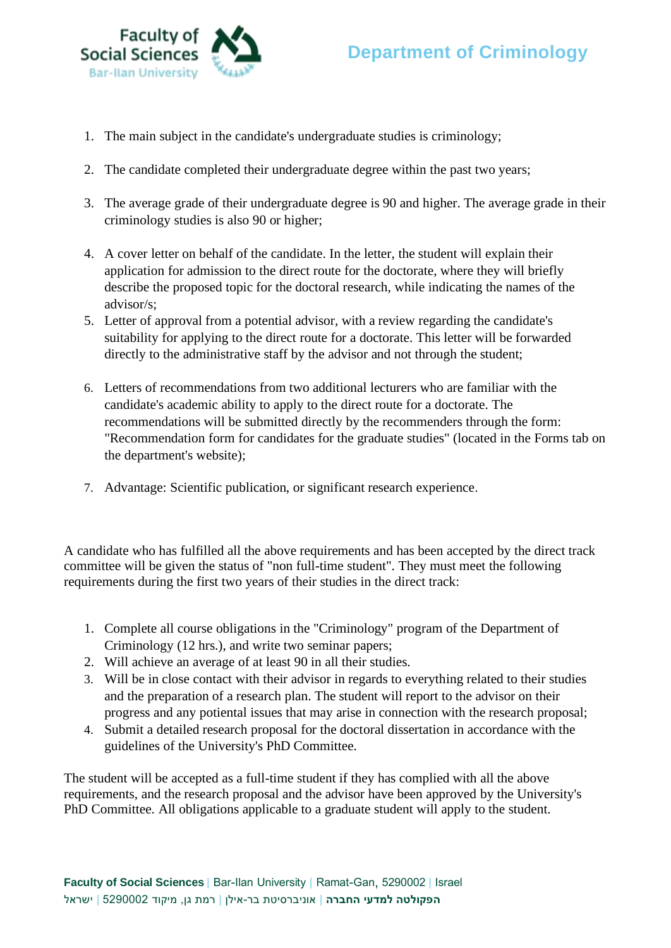

- 1. The main subject in the candidate's undergraduate studies is criminology;
- 2. The candidate completed their undergraduate degree within the past two years;
- 3. The average grade of their undergraduate degree is 90 and higher. The average grade in their criminology studies is also 90 or higher;
- 4. A cover letter on behalf of the candidate. In the letter, the student will explain their application for admission to the direct route for the doctorate, where they will briefly describe the proposed topic for the doctoral research, while indicating the names of the advisor/s;
- 5. Letter of approval from a potential advisor, with a review regarding the candidate's suitability for applying to the direct route for a doctorate. This letter will be forwarded directly to the administrative staff by the advisor and not through the student;
- 6. Letters of recommendations from two additional lecturers who are familiar with the candidate's academic ability to apply to the direct route for a doctorate. The recommendations will be submitted directly by the recommenders through the form: "Recommendation form for candidates for the graduate studies" (located in the Forms tab on the department's website);
- 7. Advantage: Scientific publication, or significant research experience.

A candidate who has fulfilled all the above requirements and has been accepted by the direct track committee will be given the status of "non full-time student". They must meet the following requirements during the first two years of their studies in the direct track:

- 1. Complete all course obligations in the "Criminology" program of the Department of Criminology (12 hrs.), and write two seminar papers;
- 2. Will achieve an average of at least 90 in all their studies.
- 3. Will be in close contact with their advisor in regards to everything related to their studies and the preparation of a research plan. The student will report to the advisor on their progress and any potiental issues that may arise in connection with the research proposal;
- 4. Submit a detailed research proposal for the doctoral dissertation in accordance with the guidelines of the University's PhD Committee.

The student will be accepted as a full-time student if they has complied with all the above requirements, and the research proposal and the advisor have been approved by the University's PhD Committee. All obligations applicable to a graduate student will apply to the student.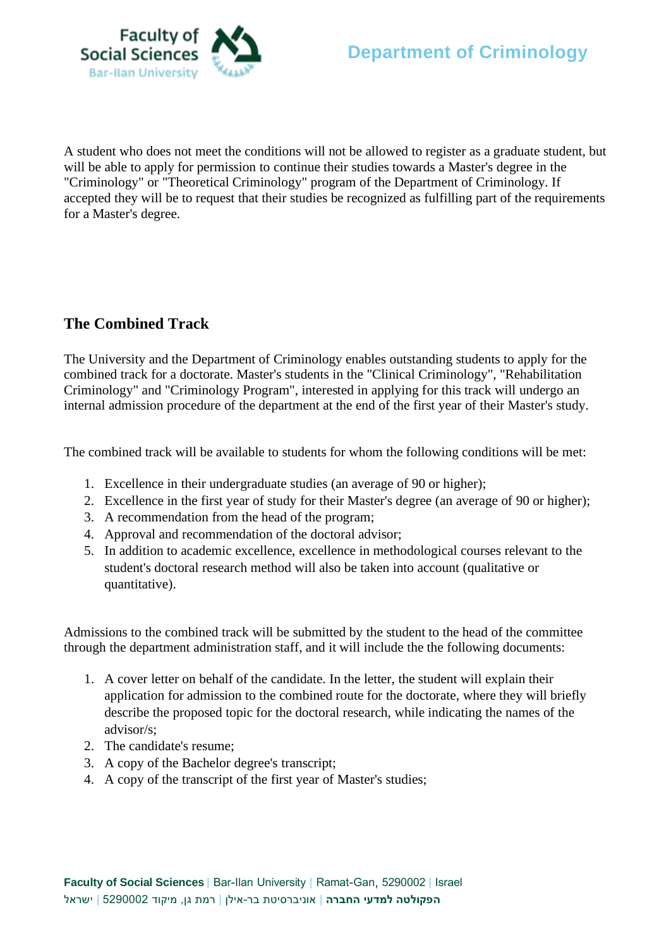

A student who does not meet the conditions will not be allowed to register as a graduate student, but will be able to apply for permission to continue their studies towards a Master's degree in the "Criminology" or "Theoretical Criminology" program of the Department of Criminology. If accepted they will be to request that their studies be recognized as fulfilling part of the requirements for a Master's degree.

## **The Combined Track**

The University and the Department of Criminology enables outstanding students to apply for the combined track for a doctorate. Master's students in the "Clinical Criminology", "Rehabilitation Criminology" and "Criminology Program", interested in applying for this track will undergo an internal admission procedure of the department at the end of the first year of their Master's study.

The combined track will be available to students for whom the following conditions will be met:

- 1. Excellence in their undergraduate studies (an average of 90 or higher);
- 2. Excellence in the first year of study for their Master's degree (an average of 90 or higher);
- 3. A recommendation from the head of the program;
- 4. Approval and recommendation of the doctoral advisor;
- 5. In addition to academic excellence, excellence in methodological courses relevant to the student's doctoral research method will also be taken into account (qualitative or quantitative).

Admissions to the combined track will be submitted by the student to the head of the committee through the department administration staff, and it will include the the following documents:

- 1. A cover letter on behalf of the candidate. In the letter, the student will explain their application for admission to the combined route for the doctorate, where they will briefly describe the proposed topic for the doctoral research, while indicating the names of the advisor/s;
- 2. The candidate's resume;
- 3. A copy of the Bachelor degree's transcript;
- 4. A copy of the transcript of the first year of Master's studies;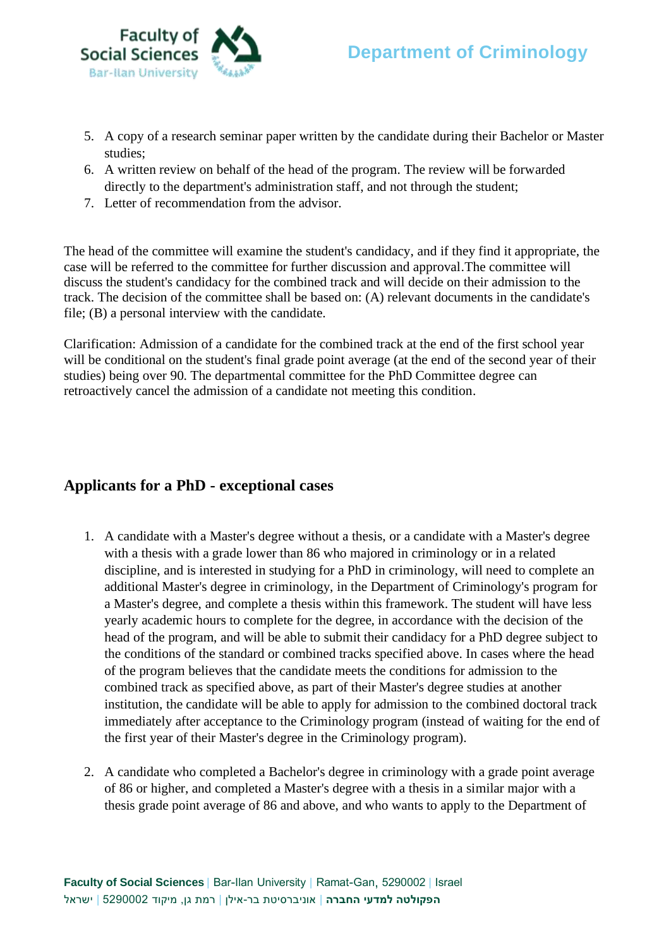

- 5. A copy of a research seminar paper written by the candidate during their Bachelor or Master studies;
- 6. A written review on behalf of the head of the program. The review will be forwarded directly to the department's administration staff, and not through the student;
- 7. Letter of recommendation from the advisor.

The head of the committee will examine the student's candidacy, and if they find it appropriate, the case will be referred to the committee for further discussion and approval.The committee will discuss the student's candidacy for the combined track and will decide on their admission to the track. The decision of the committee shall be based on: (A) relevant documents in the candidate's file; (B) a personal interview with the candidate.

Clarification: Admission of a candidate for the combined track at the end of the first school year will be conditional on the student's final grade point average (at the end of the second year of their studies) being over 90. The departmental committee for the PhD Committee degree can retroactively cancel the admission of a candidate not meeting this condition.

### **Applicants for a PhD - exceptional cases**

- 1. A candidate with a Master's degree without a thesis, or a candidate with a Master's degree with a thesis with a grade lower than 86 who majored in criminology or in a related discipline, and is interested in studying for a PhD in criminology, will need to complete an additional Master's degree in criminology, in the Department of Criminology's program for a Master's degree, and complete a thesis within this framework. The student will have less yearly academic hours to complete for the degree, in accordance with the decision of the head of the program, and will be able to submit their candidacy for a PhD degree subject to the conditions of the standard or combined tracks specified above. In cases where the head of the program believes that the candidate meets the conditions for admission to the combined track as specified above, as part of their Master's degree studies at another institution, the candidate will be able to apply for admission to the combined doctoral track immediately after acceptance to the Criminology program (instead of waiting for the end of the first year of their Master's degree in the Criminology program).
- 2. A candidate who completed a Bachelor's degree in criminology with a grade point average of 86 or higher, and completed a Master's degree with a thesis in a similar major with a thesis grade point average of 86 and above, and who wants to apply to the Department of